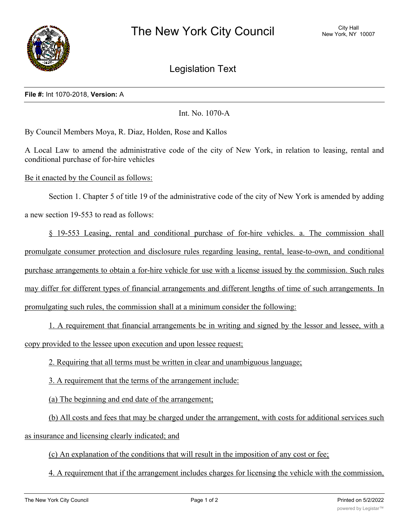

Legislation Text

## **File #:** Int 1070-2018, **Version:** A

Int. No. 1070-A

By Council Members Moya, R. Diaz, Holden, Rose and Kallos

A Local Law to amend the administrative code of the city of New York, in relation to leasing, rental and conditional purchase of for-hire vehicles

Be it enacted by the Council as follows:

Section 1. Chapter 5 of title 19 of the administrative code of the city of New York is amended by adding a new section 19-553 to read as follows:

§ 19-553 Leasing, rental and conditional purchase of for-hire vehicles. a. The commission shall promulgate consumer protection and disclosure rules regarding leasing, rental, lease-to-own, and conditional purchase arrangements to obtain a for-hire vehicle for use with a license issued by the commission. Such rules may differ for different types of financial arrangements and different lengths of time of such arrangements. In promulgating such rules, the commission shall at a minimum consider the following:

1. A requirement that financial arrangements be in writing and signed by the lessor and lessee, with a copy provided to the lessee upon execution and upon lessee request;

2. Requiring that all terms must be written in clear and unambiguous language;

3. A requirement that the terms of the arrangement include:

(a) The beginning and end date of the arrangement;

(b) All costs and fees that may be charged under the arrangement, with costs for additional services such as insurance and licensing clearly indicated; and

(c) An explanation of the conditions that will result in the imposition of any cost or fee;

4. A requirement that if the arrangement includes charges for licensing the vehicle with the commission,